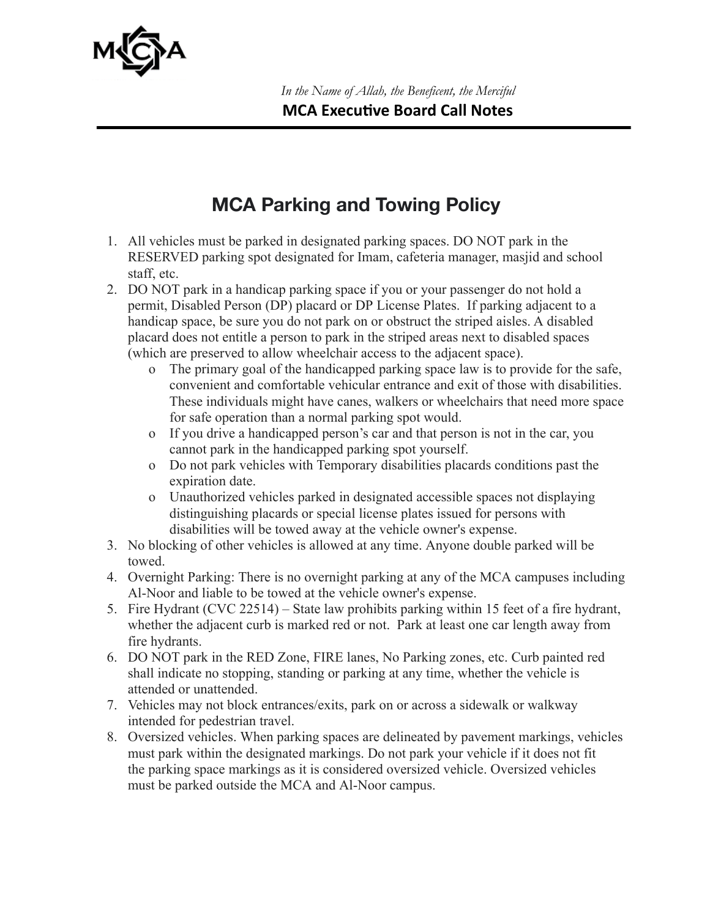

## **MCA Parking and Towing Policy**

- 1. All vehicles must be parked in designated parking spaces. DO NOT park in the RESERVED parking spot designated for Imam, cafeteria manager, masjid and school staff, etc.
- 2. DO NOT park in a handicap parking space if you or your passenger do not hold a permit, Disabled Person (DP) placard or DP License Plates. If parking adjacent to a handicap space, be sure you do not park on or obstruct the striped aisles. A disabled placard does not entitle a person to park in the striped areas next to disabled spaces (which are preserved to allow wheelchair access to the adjacent space).
	- o The primary goal of the handicapped parking space law is to provide for the safe, convenient and comfortable vehicular entrance and exit of those with disabilities. These individuals might have canes, walkers or wheelchairs that need more space for safe operation than a normal parking spot would.
	- o If you drive a handicapped person's car and that person is not in the car, you cannot park in the handicapped parking spot yourself.
	- o Do not park vehicles with Temporary disabilities placards conditions past the expiration date.
	- o Unauthorized vehicles parked in designated accessible spaces not displaying distinguishing placards or special license plates issued for persons with disabilities will be towed away at the vehicle owner's expense.
- 3. No blocking of other vehicles is allowed at any time. Anyone double parked will be towed.
- 4. Overnight Parking: There is no overnight parking at any of the MCA campuses including Al-Noor and liable to be towed at the vehicle owner's expense.
- 5. Fire Hydrant (CVC 22514) State law prohibits parking within 15 feet of a fire hydrant, whether the adjacent curb is marked red or not. Park at least one car length away from fire hydrants.
- 6. DO NOT park in the RED Zone, FIRE lanes, No Parking zones, etc. Curb painted red shall indicate no stopping, standing or parking at any time, whether the vehicle is attended or unattended.
- 7. Vehicles may not block entrances/exits, park on or across a sidewalk or walkway intended for pedestrian travel.
- 8. Oversized vehicles. When parking spaces are delineated by pavement markings, vehicles must park within the designated markings. Do not park your vehicle if it does not fit the parking space markings as it is considered oversized vehicle. Oversized vehicles must be parked outside the MCA and Al-Noor campus.